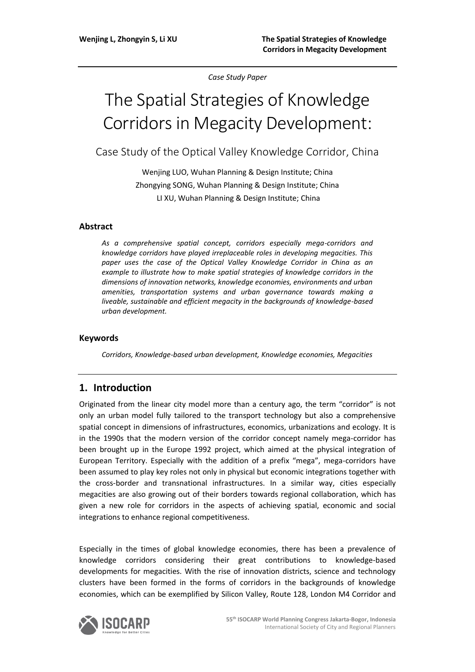*Case Study Paper*

# The Spatial Strategies of Knowledge Corridors in Megacity Development:

Case Study of the Optical Valley Knowledge Corridor, China

Wenjing LUO, Wuhan Planning & Design Institute; China Zhongying SONG, Wuhan Planning & Design Institute; China LI XU, Wuhan Planning & Design Institute; China

#### **Abstract**

*As a comprehensive spatial concept, corridors especially mega-corridors and knowledge corridors have played irreplaceable roles in developing megacities. This paper uses the case of the Optical Valley Knowledge Corridor in China as an example to illustrate how to make spatial strategies of knowledge corridors in the dimensions of innovation networks, knowledge economies, environments and urban amenities, transportation systems and urban governance towards making a liveable, sustainable and efficient megacity in the backgrounds of knowledge-based urban development.*

#### **Keywords**

*Corridors, Knowledge-based urban development, Knowledge economies, Megacities*

## **1. Introduction**

Originated from the linear city model more than a century ago, the term "corridor" is not only an urban model fully tailored to the transport technology but also a comprehensive spatial concept in dimensions of infrastructures, economics, urbanizations and ecology. It is in the 1990s that the modern version of the corridor concept namely mega-corridor has been brought up in the Europe 1992 project, which aimed at the physical integration of European Territory. Especially with the addition of a prefix "mega", mega-corridors have been assumed to play key roles not only in physical but economic integrations together with the cross-border and transnational infrastructures. In a similar way, cities especially megacities are also growing out of their borders towards regional collaboration, which has given a new role for corridors in the aspects of achieving spatial, economic and social integrations to enhance regional competitiveness.

Especially in the times of global knowledge economies, there has been a prevalence of knowledge corridors considering their great contributions to knowledge-based developments for megacities. With the rise of innovation districts, science and technology clusters have been formed in the forms of corridors in the backgrounds of knowledge economies, which can be exemplified by Silicon Valley, Route 128, London M4 Corridor and

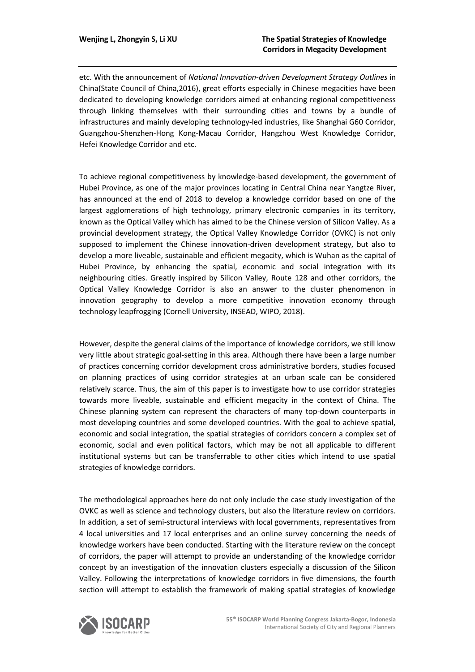etc. With the announcement of *National Innovation-driven Development Strategy Outlines* in China(State Council of China,2016), great efforts especially in Chinese megacities have been dedicated to developing knowledge corridors aimed at enhancing regional competitiveness through linking themselves with their surrounding cities and towns by a bundle of infrastructures and mainly developing technology-led industries, like Shanghai G60 Corridor, Guangzhou-Shenzhen-Hong Kong-Macau Corridor, Hangzhou West Knowledge Corridor, Hefei Knowledge Corridor and etc.

To achieve regional competitiveness by knowledge-based development, the government of Hubei Province, as one of the major provinces locating in Central China near Yangtze River, has announced at the end of 2018 to develop a knowledge corridor based on one of the largest agglomerations of high technology, primary electronic companies in its territory, known as the Optical Valley which has aimed to be the Chinese version of Silicon Valley. As a provincial development strategy, the Optical Valley Knowledge Corridor (OVKC) is not only supposed to implement the Chinese innovation-driven development strategy, but also to develop a more liveable, sustainable and efficient megacity, which is Wuhan as the capital of Hubei Province, by enhancing the spatial, economic and social integration with its neighbouring cities. Greatly inspired by Silicon Valley, Route 128 and other corridors, the Optical Valley Knowledge Corridor is also an answer to the cluster phenomenon in innovation geography to develop a more competitive innovation economy through technology leapfrogging (Cornell University, INSEAD, WIPO, 2018).

However, despite the general claims of the importance of knowledge corridors, we still know very little about strategic goal-setting in this area. Although there have been a large number of practices concerning corridor development cross administrative borders, studies focused on planning practices of using corridor strategies at an urban scale can be considered relatively scarce. Thus, the aim of this paper is to investigate how to use corridor strategies towards more liveable, sustainable and efficient megacity in the context of China. The Chinese planning system can represent the characters of many top-down counterparts in most developing countries and some developed countries. With the goal to achieve spatial, economic and social integration, the spatial strategies of corridors concern a complex set of economic, social and even political factors, which may be not all applicable to different institutional systems but can be transferrable to other cities which intend to use spatial strategies of knowledge corridors.

The methodological approaches here do not only include the case study investigation of the OVKC as well as science and technology clusters, but also the literature review on corridors. In addition, a set of semi-structural interviews with local governments, representatives from 4 local universities and 17 local enterprises and an online survey concerning the needs of knowledge workers have been conducted. Starting with the literature review on the concept of corridors, the paper will attempt to provide an understanding of the knowledge corridor concept by an investigation of the innovation clusters especially a discussion of the Silicon Valley. Following the interpretations of knowledge corridors in five dimensions, the fourth section will attempt to establish the framework of making spatial strategies of knowledge

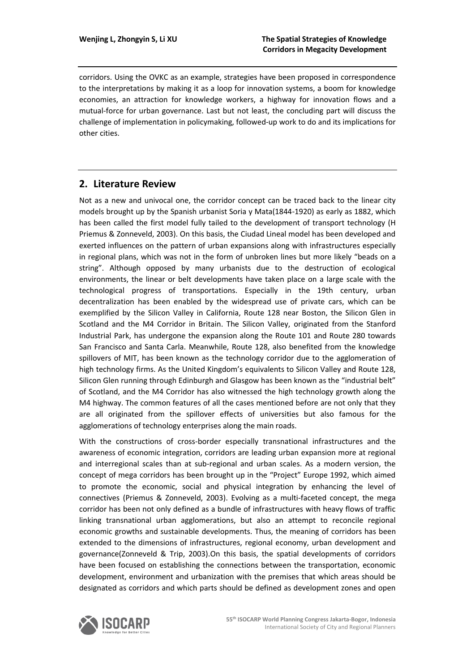corridors. Using the OVKC as an example, strategies have been proposed in correspondence to the interpretations by making it as a loop for innovation systems, a boom for knowledge economies, an attraction for knowledge workers, a highway for innovation flows and a mutual-force for urban governance. Last but not least, the concluding part will discuss the challenge of implementation in policymaking, followed-up work to do and its implications for other cities.

# **2. Literature Review**

Not as a new and univocal one, the corridor concept can be traced back to the linear city models brought up by the Spanish urbanist Soria y Mata(1844-1920) as early as 1882, which has been called the first model fully tailed to the development of transport technology (H Priemus & Zonneveld, 2003). On this basis, the Ciudad Lineal model has been developed and exerted influences on the pattern of urban expansions along with infrastructures especially in regional plans, which was not in the form of unbroken lines but more likely "beads on a string". Although opposed by many urbanists due to the destruction of ecological environments, the linear or belt developments have taken place on a large scale with the technological progress of transportations. Especially in the 19th century, urban decentralization has been enabled by the widespread use of private cars, which can be exemplified by the Silicon Valley in California, Route 128 near Boston, the Silicon Glen in Scotland and the M4 Corridor in Britain. The Silicon Valley, originated from the Stanford Industrial Park, has undergone the expansion along the Route 101 and Route 280 towards San Francisco and Santa Carla. Meanwhile, Route 128, also benefited from the knowledge spillovers of MIT, has been known as the technology corridor due to the agglomeration of high technology firms. As the United Kingdom's equivalents to Silicon Valley and Route 128, Silicon Glen running through Edinburgh and Glasgow has been known as the "industrial belt" of Scotland, and the M4 Corridor has also witnessed the high technology growth along the M4 highway. The common features of all the cases mentioned before are not only that they are all originated from the spillover effects of universities but also famous for the agglomerations of technology enterprises along the main roads.

With the constructions of cross-border especially transnational infrastructures and the awareness of economic integration, corridors are leading urban expansion more at regional and interregional scales than at sub-regional and urban scales. As a modern version, the concept of mega corridors has been brought up in the "Project" Europe 1992, which aimed to promote the economic, social and physical integration by enhancing the level of connectives (Priemus & Zonneveld, 2003). Evolving as a multi-faceted concept, the mega corridor has been not only defined as a bundle of infrastructures with heavy flows of traffic linking transnational urban agglomerations, but also an attempt to reconcile regional economic growths and sustainable developments. Thus, the meaning of corridors has been extended to the dimensions of infrastructures, regional economy, urban development and governance(Zonneveld & Trip, 2003).On this basis, the spatial developments of corridors have been focused on establishing the connections between the transportation, economic development, environment and urbanization with the premises that which areas should be designated as corridors and which parts should be defined as development zones and open

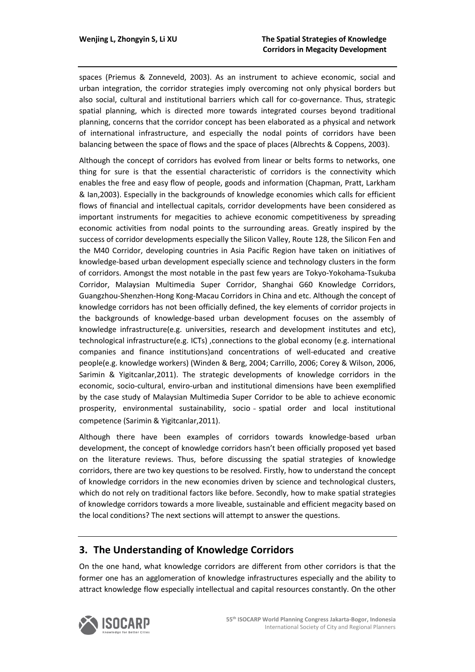spaces (Priemus & Zonneveld, 2003). As an instrument to achieve economic, social and urban integration, the corridor strategies imply overcoming not only physical borders but also social, cultural and institutional barriers which call for co-governance. Thus, strategic spatial planning, which is directed more towards integrated courses beyond traditional planning, concerns that the corridor concept has been elaborated as a physical and network of international infrastructure, and especially the nodal points of corridors have been balancing between the space of flows and the space of places (Albrechts & Coppens, 2003).

Although the concept of corridors has evolved from linear or belts forms to networks, one thing for sure is that the essential characteristic of corridors is the connectivity which enables the free and easy flow of people, goods and information (Chapman, Pratt, Larkham & Ian,2003). Especially in the backgrounds of knowledge economies which calls for efficient flows of financial and intellectual capitals, corridor developments have been considered as important instruments for megacities to achieve economic competitiveness by spreading economic activities from nodal points to the surrounding areas. Greatly inspired by the success of corridor developments especially the Silicon Valley, Route 128, the Silicon Fen and the M40 Corridor, developing countries in Asia Pacific Region have taken on initiatives of knowledge-based urban development especially science and technology clusters in the form of corridors. Amongst the most notable in the past few years are Tokyo-Yokohama-Tsukuba Corridor, Malaysian Multimedia Super Corridor, Shanghai G60 Knowledge Corridors, Guangzhou-Shenzhen-Hong Kong-Macau Corridors in China and etc. Although the concept of knowledge corridors has not been officially defined, the key elements of corridor projects in the backgrounds of knowledge-based urban development focuses on the assembly of knowledge infrastructure(e.g. universities, research and development institutes and etc), technological infrastructure(e.g. ICTs) ,connections to the global economy (e.g. international companies and finance institutions)and concentrations of well-educated and creative people(e.g. knowledge workers) (Winden & Berg, 2004; Carrillo, 2006; Corey & Wilson, 2006, Sarimin & Yigitcanlar,2011). The strategic developments of knowledge corridors in the economic, socio-cultural, enviro-urban and institutional dimensions have been exemplified by the case study of Malaysian Multimedia Super Corridor to be able to achieve economic prosperity, environmental sustainability, socio ‐ spatial order and local institutional competence (Sarimin & Yigitcanlar,2011).

Although there have been examples of corridors towards knowledge-based urban development, the concept of knowledge corridors hasn't been officially proposed yet based on the literature reviews. Thus, before discussing the spatial strategies of knowledge corridors, there are two key questions to be resolved. Firstly, how to understand the concept of knowledge corridors in the new economies driven by science and technological clusters, which do not rely on traditional factors like before. Secondly, how to make spatial strategies of knowledge corridors towards a more liveable, sustainable and efficient megacity based on the local conditions? The next sections will attempt to answer the questions.

## **3. The Understanding of Knowledge Corridors**

On the one hand, what knowledge corridors are different from other corridors is that the former one has an agglomeration of knowledge infrastructures especially and the ability to attract knowledge flow especially intellectual and capital resources constantly. On the other

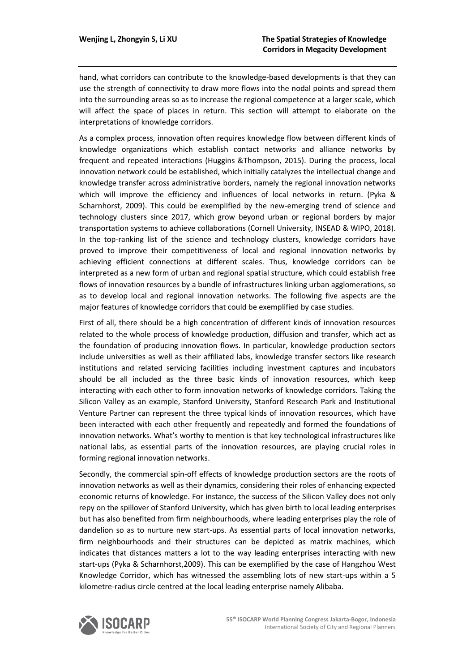hand, what corridors can contribute to the knowledge-based developments is that they can use the strength of connectivity to draw more flows into the nodal points and spread them into the surrounding areas so as to increase the regional competence at a larger scale, which will affect the space of places in return. This section will attempt to elaborate on the interpretations of knowledge corridors.

As a complex process, innovation often requires knowledge flow between different kinds of knowledge organizations which establish contact networks and alliance networks by frequent and repeated interactions (Huggins &Thompson, 2015). During the process, local innovation network could be established, which initially catalyzes the intellectual change and knowledge transfer across administrative borders, namely the regional innovation networks which will improve the efficiency and influences of local networks in return. (Pyka & Scharnhorst, 2009). This could be exemplified by the new-emerging trend of science and technology clusters since 2017, which grow beyond urban or regional borders by major transportation systems to achieve collaborations (Cornell University, INSEAD & WIPO, 2018). In the top-ranking list of the science and technology clusters, knowledge corridors have proved to improve their competitiveness of local and regional innovation networks by achieving efficient connections at different scales. Thus, knowledge corridors can be interpreted as a new form of urban and regional spatial structure, which could establish free flows of innovation resources by a bundle of infrastructures linking urban agglomerations, so as to develop local and regional innovation networks. The following five aspects are the major features of knowledge corridors that could be exemplified by case studies.

First of all, there should be a high concentration of different kinds of innovation resources related to the whole process of knowledge production, diffusion and transfer, which act as the foundation of producing innovation flows. In particular, knowledge production sectors include universities as well as their affiliated labs, knowledge transfer sectors like research institutions and related servicing facilities including investment captures and incubators should be all included as the three basic kinds of innovation resources, which keep interacting with each other to form innovation networks of knowledge corridors. Taking the Silicon Valley as an example, Stanford University, Stanford Research Park and Institutional Venture Partner can represent the three typical kinds of innovation resources, which have been interacted with each other frequently and repeatedly and formed the foundations of innovation networks. What's worthy to mention is that key technological infrastructures like national labs, as essential parts of the innovation resources, are playing crucial roles in forming regional innovation networks.

Secondly, the commercial spin-off effects of knowledge production sectors are the roots of innovation networks as well as their dynamics, considering their roles of enhancing expected economic returns of knowledge. For instance, the success of the Silicon Valley does not only repy on the spillover of Stanford University, which has given birth to local leading enterprises but has also benefited from firm neighbourhoods, where leading enterprises play the role of dandelion so as to nurture new start-ups. As essential parts of local innovation networks, firm neighbourhoods and their structures can be depicted as matrix machines, which indicates that distances matters a lot to the way leading enterprises interacting with new start-ups (Pyka & Scharnhorst,2009). This can be exemplified by the case of Hangzhou West Knowledge Corridor, which has witnessed the assembling lots of new start-ups within a 5 kilometre-radius circle centred at the local leading enterprise namely Alibaba.

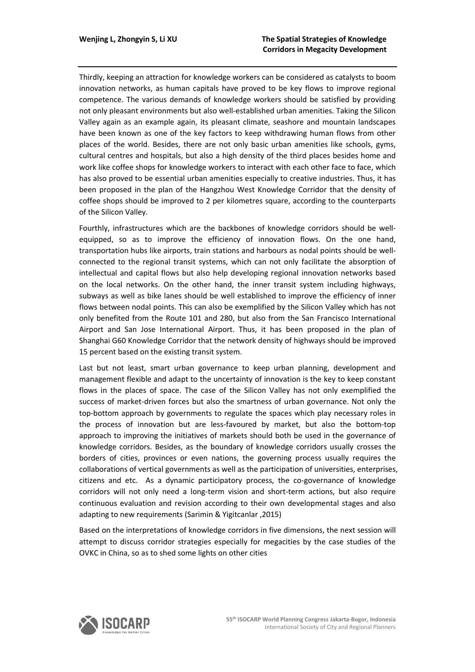Thirdly, keeping an attraction for knowledge workers can be considered as catalysts to boom innovation networks, as human capitals have proved to be key flows to improve regional competence. The various demands of knowledge workers should be satisfied by providing not only pleasant environments but also well-established urban amenities. Taking the Silicon Valley again as an example again, its pleasant climate, seashore and mountain landscapes have been known as one of the key factors to keep withdrawing human flows from other places of the world. Besides, there are not only basic urban amenities like schools, gyms, cultural centres and hospitals, but also a high density of the third places besides home and work like coffee shops for knowledge workers to interact with each other face to face, which has also proved to be essential urban amenities especially to creative industries. Thus, it has been proposed in the plan of the Hangzhou West Knowledge Corridor that the density of coffee shops should be improved to 2 per kilometres square, according to the counterparts of the Silicon Valley.

Fourthly, infrastructures which are the backbones of knowledge corridors should be wellequipped, so as to improve the efficiency of innovation flows. On the one hand, transportation hubs like airports, train stations and harbours as nodal points should be wellconnected to the regional transit systems, which can not only facilitate the absorption of intellectual and capital flows but also help developing regional innovation networks based on the local networks. On the other hand, the inner transit system including highways, subways as well as bike lanes should be well established to improve the efficiency of inner flows between nodal points. This can also be exemplified by the Silicon Valley which has not only benefited from the Route 101 and 280, but also from the San Francisco International Airport and San Jose International Airport. Thus, it has been proposed in the plan of Shanghai G60 Knowledge Corridor that the network density of highways should be improved 15 percent based on the existing transit system.

Last but not least, smart urban governance to keep urban planning, development and management flexible and adapt to the uncertainty of innovation is the key to keep constant flows in the places of space. The case of the Silicon Valley has not only exemplified the success of market-driven forces but also the smartness of urban governance. Not only the top-bottom approach by governments to regulate the spaces which play necessary roles in the process of innovation but are less-favoured by market, but also the bottom-top approach to improving the initiatives of markets should both be used in the governance of knowledge corridors. Besides, as the boundary of knowledge corridors usually crosses the borders of cities, provinces or even nations, the governing process usually requires the collaborations of vertical governments as well as the participation of universities, enterprises, citizens and etc. As a dynamic participatory process, the co-governance of knowledge corridors will not only need a long-term vision and short-term actions, but also require continuous evaluation and revision according to their own developmental stages and also adapting to new requirements (Sarimin & Yigitcanlar ,2015)

Based on the interpretations of knowledge corridors in five dimensions, the next session will attempt to discuss corridor strategies especially for megacities by the case studies of the OVKC in China, so as to shed some lights on other cities

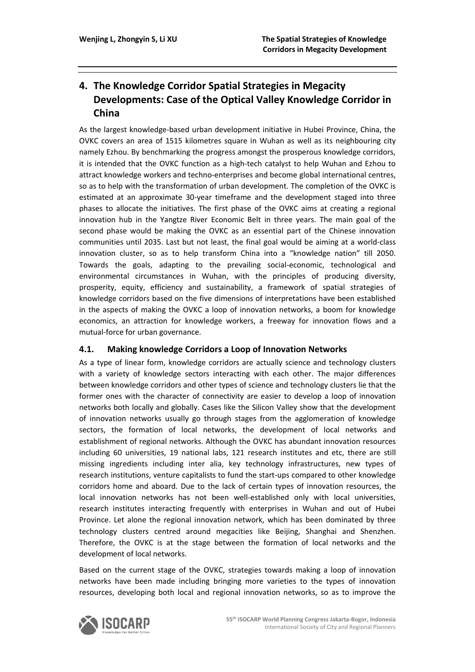# **4. The Knowledge Corridor Spatial Strategies in Megacity Developments: Case of the Optical Valley Knowledge Corridor in China**

As the largest knowledge-based urban development initiative in Hubei Province, China, the OVKC covers an area of 1515 kilometres square in Wuhan as well as its neighbouring city namely Ezhou. By benchmarking the progress amongst the prosperous knowledge corridors, it is intended that the OVKC function as a high-tech catalyst to help Wuhan and Ezhou to attract knowledge workers and techno-enterprises and become global international centres, so as to help with the transformation of urban development. The completion of the OVKC is estimated at an approximate 30-year timeframe and the development staged into three phases to allocate the initiatives. The first phase of the OVKC aims at creating a regional innovation hub in the Yangtze River Economic Belt in three years. The main goal of the second phase would be making the OVKC as an essential part of the Chinese innovation communities until 2035. Last but not least, the final goal would be aiming at a world-class innovation cluster, so as to help transform China into a "knowledge nation" till 2050. Towards the goals, adapting to the prevailing social-economic, technological and environmental circumstances in Wuhan, with the principles of producing diversity, prosperity, equity, efficiency and sustainability, a framework of spatial strategies of knowledge corridors based on the five dimensions of interpretations have been established in the aspects of making the OVKC a loop of innovation networks, a boom for knowledge economics, an attraction for knowledge workers, a freeway for innovation flows and a mutual-force for urban governance.

#### **4.1. Making knowledge Corridors a Loop of Innovation Networks**

As a type of linear form, knowledge corridors are actually science and technology clusters with a variety of knowledge sectors interacting with each other. The major differences between knowledge corridors and other types of science and technology clusters lie that the former ones with the character of connectivity are easier to develop a loop of innovation networks both locally and globally. Cases like the Silicon Valley show that the development of innovation networks usually go through stages from the agglomeration of knowledge sectors, the formation of local networks, the development of local networks and establishment of regional networks. Although the OVKC has abundant innovation resources including 60 universities, 19 national labs, 121 research institutes and etc, there are still missing ingredients including inter alia, key technology infrastructures, new types of research institutions, venture capitalists to fund the start-ups compared to other knowledge corridors home and aboard. Due to the lack of certain types of innovation resources, the local innovation networks has not been well-established only with local universities, research institutes interacting frequently with enterprises in Wuhan and out of Hubei Province. Let alone the regional innovation network, which has been dominated by three technology clusters centred around megacities like Beijing, Shanghai and Shenzhen. Therefore, the OVKC is at the stage between the formation of local networks and the development of local networks.

Based on the current stage of the OVKC, strategies towards making a loop of innovation networks have been made including bringing more varieties to the types of innovation resources, developing both local and regional innovation networks, so as to improve the

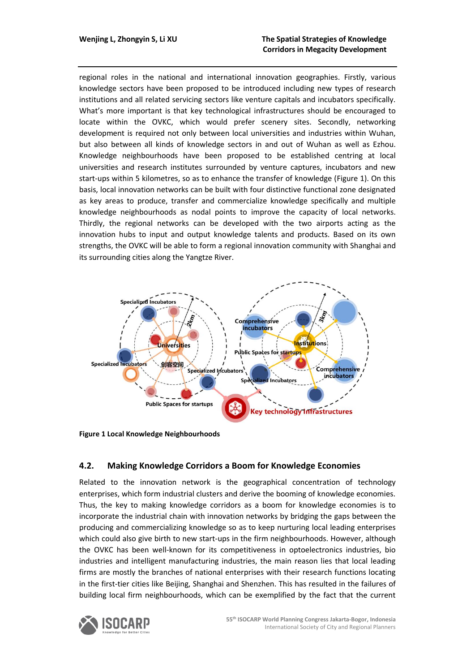regional roles in the national and international innovation geographies. Firstly, various knowledge sectors have been proposed to be introduced including new types of research institutions and all related servicing sectors like venture capitals and incubators specifically. What's more important is that key technological infrastructures should be encouraged to locate within the OVKC, which would prefer scenery sites. Secondly, networking development is required not only between local universities and industries within Wuhan, but also between all kinds of knowledge sectors in and out of Wuhan as well as Ezhou. Knowledge neighbourhoods have been proposed to be established centring at local universities and research institutes surrounded by venture captures, incubators and new start-ups within 5 kilometres, so as to enhance the transfer of knowledge (Figure 1). On this basis, local innovation networks can be built with four distinctive functional zone designated as key areas to produce, transfer and commercialize knowledge specifically and multiple knowledge neighbourhoods as nodal points to improve the capacity of local networks. Thirdly, the regional networks can be developed with the two airports acting as the innovation hubs to input and output knowledge talents and products. Based on its own strengths, the OVKC will be able to form a regional innovation community with Shanghai and its surrounding cities along the Yangtze River.



**Figure 1 Local Knowledge Neighbourhoods**

#### **4.2. Making Knowledge Corridors a Boom for Knowledge Economies**

Related to the innovation network is the geographical concentration of technology enterprises, which form industrial clusters and derive the booming of knowledge economies. Thus, the key to making knowledge corridors as a boom for knowledge economies is to incorporate the industrial chain with innovation networks by bridging the gaps between the producing and commercializing knowledge so as to keep nurturing local leading enterprises which could also give birth to new start-ups in the firm neighbourhoods. However, although the OVKC has been well-known for its competitiveness in optoelectronics industries, bio industries and intelligent manufacturing industries, the main reason lies that local leading firms are mostly the branches of national enterprises with their research functions locating in the first-tier cities like Beijing, Shanghai and Shenzhen. This has resulted in the failures of building local firm neighbourhoods, which can be exemplified by the fact that the current

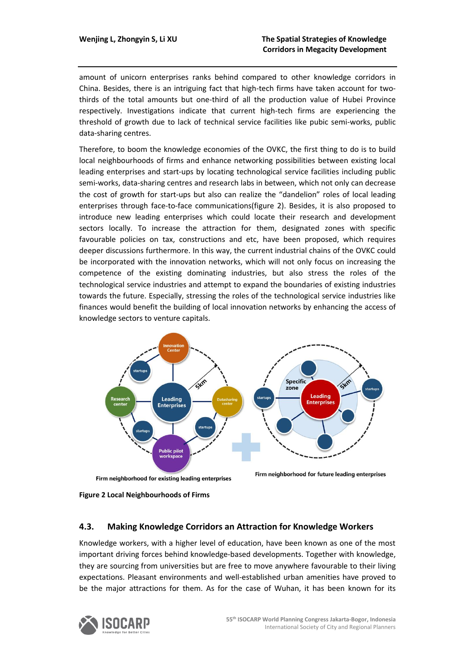amount of unicorn enterprises ranks behind compared to other knowledge corridors in China. Besides, there is an intriguing fact that high-tech firms have taken account for twothirds of the total amounts but one-third of all the production value of Hubei Province respectively. Investigations indicate that current high-tech firms are experiencing the threshold of growth due to lack of technical service facilities like pubic semi-works, public data-sharing centres.

Therefore, to boom the knowledge economies of the OVKC, the first thing to do is to build local neighbourhoods of firms and enhance networking possibilities between existing local leading enterprises and start-ups by locating technological service facilities including public semi-works, data-sharing centres and research labs in between, which not only can decrease the cost of growth for start-ups but also can realize the "dandelion" roles of local leading enterprises through face-to-face communications(figure 2). Besides, it is also proposed to introduce new leading enterprises which could locate their research and development sectors locally. To increase the attraction for them, designated zones with specific favourable policies on tax, constructions and etc, have been proposed, which requires deeper discussions furthermore. In this way, the current industrial chains of the OVKC could be incorporated with the innovation networks, which will not only focus on increasing the competence of the existing dominating industries, but also stress the roles of the technological service industries and attempt to expand the boundaries of existing industries towards the future. Especially, stressing the roles of the technological service industries like finances would benefit the building of local innovation networks by enhancing the access of knowledge sectors to venture capitals.



Firm neighborhood for existing leading enterprises

Firm neighborhood for future leading enterprises

**Figure 2 Local Neighbourhoods of Firms**

#### **4.3. Making Knowledge Corridors an Attraction for Knowledge Workers**

Knowledge workers, with a higher level of education, have been known as one of the most important driving forces behind knowledge-based developments. Together with knowledge, they are sourcing from universities but are free to move anywhere favourable to their living expectations. Pleasant environments and well-established urban amenities have proved to be the major attractions for them. As for the case of Wuhan, it has been known for its

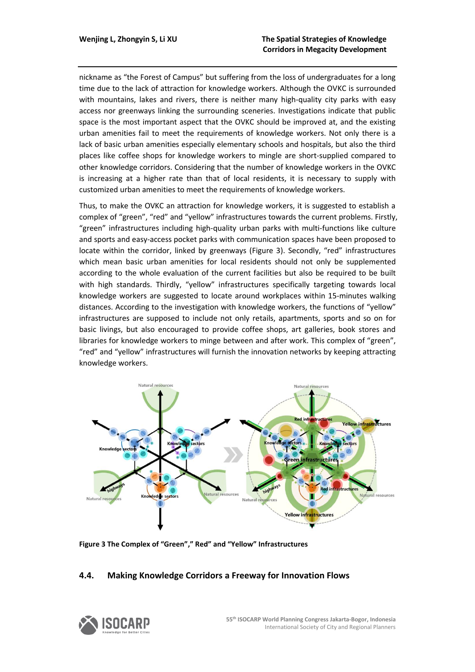nickname as "the Forest of Campus" but suffering from the loss of undergraduates for a long time due to the lack of attraction for knowledge workers. Although the OVKC is surrounded with mountains, lakes and rivers, there is neither many high-quality city parks with easy access nor greenways linking the surrounding sceneries. Investigations indicate that public space is the most important aspect that the OVKC should be improved at, and the existing urban amenities fail to meet the requirements of knowledge workers. Not only there is a lack of basic urban amenities especially elementary schools and hospitals, but also the third places like coffee shops for knowledge workers to mingle are short-supplied compared to other knowledge corridors. Considering that the number of knowledge workers in the OVKC is increasing at a higher rate than that of local residents, it is necessary to supply with customized urban amenities to meet the requirements of knowledge workers.

Thus, to make the OVKC an attraction for knowledge workers, it is suggested to establish a complex of "green", "red" and "yellow" infrastructures towards the current problems. Firstly, "green" infrastructures including high-quality urban parks with multi-functions like culture and sports and easy-access pocket parks with communication spaces have been proposed to locate within the corridor, linked by greenways (Figure 3). Secondly, "red" infrastructures which mean basic urban amenities for local residents should not only be supplemented according to the whole evaluation of the current facilities but also be required to be built with high standards. Thirdly, "yellow" infrastructures specifically targeting towards local knowledge workers are suggested to locate around workplaces within 15-minutes walking distances. According to the investigation with knowledge workers, the functions of "yellow" infrastructures are supposed to include not only retails, apartments, sports and so on for basic livings, but also encouraged to provide coffee shops, art galleries, book stores and libraries for knowledge workers to minge between and after work. This complex of "green", "red" and "yellow" infrastructures will furnish the innovation networks by keeping attracting knowledge workers.



**Figure 3 The Complex of "Green"," Red" and "Yellow" Infrastructures**

#### **4.4. Making Knowledge Corridors a Freeway for Innovation Flows**

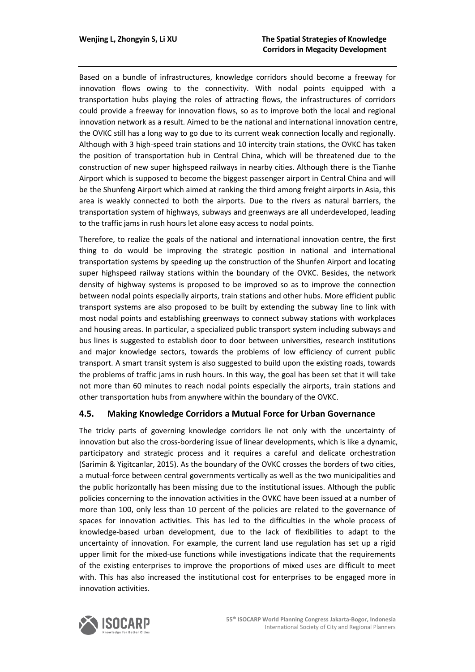Based on a bundle of infrastructures, knowledge corridors should become a freeway for innovation flows owing to the connectivity. With nodal points equipped with a transportation hubs playing the roles of attracting flows, the infrastructures of corridors could provide a freeway for innovation flows, so as to improve both the local and regional innovation network as a result. Aimed to be the national and international innovation centre, the OVKC still has a long way to go due to its current weak connection locally and regionally. Although with 3 high-speed train stations and 10 intercity train stations, the OVKC has taken the position of transportation hub in Central China, which will be threatened due to the construction of new super highspeed railways in nearby cities. Although there is the Tianhe Airport which is supposed to become the biggest passenger airport in Central China and will be the Shunfeng Airport which aimed at ranking the third among freight airports in Asia, this area is weakly connected to both the airports. Due to the rivers as natural barriers, the transportation system of highways, subways and greenways are all underdeveloped, leading to the traffic jams in rush hours let alone easy access to nodal points.

Therefore, to realize the goals of the national and international innovation centre, the first thing to do would be improving the strategic position in national and international transportation systems by speeding up the construction of the Shunfen Airport and locating super highspeed railway stations within the boundary of the OVKC. Besides, the network density of highway systems is proposed to be improved so as to improve the connection between nodal points especially airports, train stations and other hubs. More efficient public transport systems are also proposed to be built by extending the subway line to link with most nodal points and establishing greenways to connect subway stations with workplaces and housing areas. In particular, a specialized public transport system including subways and bus lines is suggested to establish door to door between universities, research institutions and major knowledge sectors, towards the problems of low efficiency of current public transport. A smart transit system is also suggested to build upon the existing roads, towards the problems of traffic jams in rush hours. In this way, the goal has been set that it will take not more than 60 minutes to reach nodal points especially the airports, train stations and other transportation hubs from anywhere within the boundary of the OVKC.

#### **4.5. Making Knowledge Corridors a Mutual Force for Urban Governance**

The tricky parts of governing knowledge corridors lie not only with the uncertainty of innovation but also the cross-bordering issue of linear developments, which is like a dynamic, participatory and strategic process and it requires a careful and delicate orchestration (Sarimin & Yigitcanlar, 2015). As the boundary of the OVKC crosses the borders of two cities, a mutual-force between central governments vertically as well as the two municipalities and the public horizontally has been missing due to the institutional issues. Although the public policies concerning to the innovation activities in the OVKC have been issued at a number of more than 100, only less than 10 percent of the policies are related to the governance of spaces for innovation activities. This has led to the difficulties in the whole process of knowledge-based urban development, due to the lack of flexibilities to adapt to the uncertainty of innovation. For example, the current land use regulation has set up a rigid upper limit for the mixed-use functions while investigations indicate that the requirements of the existing enterprises to improve the proportions of mixed uses are difficult to meet with. This has also increased the institutional cost for enterprises to be engaged more in innovation activities.

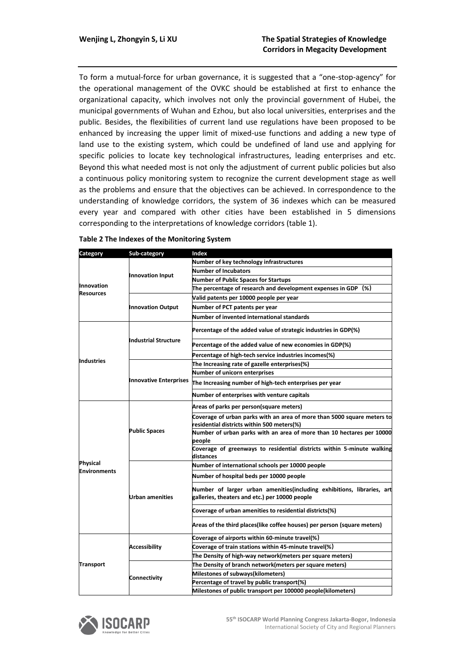To form a mutual-force for urban governance, it is suggested that a "one-stop-agency" for the operational management of the OVKC should be established at first to enhance the organizational capacity, which involves not only the provincial government of Hubei, the municipal governments of Wuhan and Ezhou, but also local universities, enterprises and the public. Besides, the flexibilities of current land use regulations have been proposed to be enhanced by increasing the upper limit of mixed-use functions and adding a new type of land use to the existing system, which could be undefined of land use and applying for specific policies to locate key technological infrastructures, leading enterprises and etc. Beyond this what needed most is not only the adjustment of current public policies but also a continuous policy monitoring system to recognize the current development stage as well as the problems and ensure that the objectives can be achieved. In correspondence to the understanding of knowledge corridors, the system of 36 indexes which can be measured every year and compared with other cities have been established in 5 dimensions corresponding to the interpretations of knowledge corridors (table 1).

| Category                              | Sub-category                  | Index                                                                                                                    |
|---------------------------------------|-------------------------------|--------------------------------------------------------------------------------------------------------------------------|
|                                       |                               | Number of key technology infrastructures                                                                                 |
| <b>Innovation</b><br><b>Resources</b> | <b>Innovation Input</b>       | <b>Number of Incubators</b>                                                                                              |
|                                       |                               | <b>Number of Public Spaces for Startups</b>                                                                              |
|                                       |                               | The percentage of research and development expenses in GDP (%)                                                           |
|                                       | <b>Innovation Output</b>      | Valid patents per 10000 people per year                                                                                  |
|                                       |                               | Number of PCT patents per year                                                                                           |
|                                       |                               | Number of invented international standards                                                                               |
| <b>Industries</b>                     | Industrial Structure          | Percentage of the added value of strategic industries in GDP(%)                                                          |
|                                       |                               | Percentage of the added value of new economies in GDP(%)                                                                 |
|                                       |                               | Percentage of high-tech service industries incomes(%)                                                                    |
|                                       | <b>Innovative Enterprises</b> | The Increasing rate of gazelle enterprises(%)                                                                            |
|                                       |                               | Number of unicorn enterprises                                                                                            |
|                                       |                               | The Increasing number of high-tech enterprises per year                                                                  |
|                                       |                               | Number of enterprises with venture capitals                                                                              |
| Physical<br><b>Environments</b>       | <b>Public Spaces</b>          | Areas of parks per person(square meters)                                                                                 |
|                                       |                               | Coverage of urban parks with an area of more than 5000 square meters to<br>residential districts within 500 meters(%)    |
|                                       |                               | Number of urban parks with an area of more than 10 hectares per 10000<br>people                                          |
|                                       |                               | Coverage of greenways to residential districts within 5-minute walking<br>distances                                      |
|                                       | <b>Urban amenities</b>        | Number of international schools per 10000 people                                                                         |
|                                       |                               | Number of hospital beds per 10000 people                                                                                 |
|                                       |                               | Number of larger urban amenities(including exhibitions, libraries, art<br>galleries, theaters and etc.) per 10000 people |
|                                       |                               | Coverage of urban amenities to residential districts(%)                                                                  |
|                                       |                               | Areas of the third places (like coffee houses) per person (square meters)                                                |
| <b>Transport</b>                      | <b>Accessibility</b>          | Coverage of airports within 60-minute travel(%)                                                                          |
|                                       |                               | Coverage of train stations within 45-minute travel(%)                                                                    |
|                                       |                               | The Density of high-way network(meters per square meters)                                                                |
|                                       | Connectivity                  | The Density of branch network(meters per square meters)                                                                  |
|                                       |                               | Milestones of subways(kilometers)                                                                                        |
|                                       |                               | Percentage of travel by public transport(%)                                                                              |
|                                       |                               | Milestones of public transport per 100000 people(kilometers)                                                             |

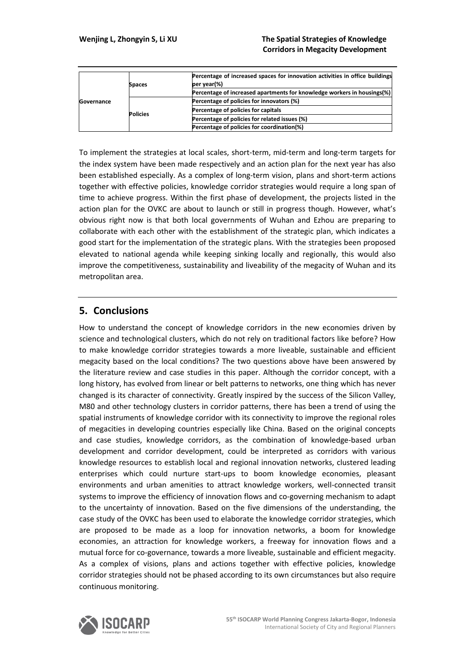| Governance | <b>Spaces</b>   | Percentage of increased spaces for innovation activities in office buildings<br>per year(%) |
|------------|-----------------|---------------------------------------------------------------------------------------------|
|            |                 | Percentage of increased apartments for knowledge workers in housings(%)                     |
|            | <b>Policies</b> | Percentage of policies for innovators (%)                                                   |
|            |                 | Percentage of policies for capitals                                                         |
|            |                 | Percentage of policies for related issues (%)                                               |
|            |                 | Percentage of policies for coordination(%)                                                  |

To implement the strategies at local scales, short-term, mid-term and long-term targets for the index system have been made respectively and an action plan for the next year has also been established especially. As a complex of long-term vision, plans and short-term actions together with effective policies, knowledge corridor strategies would require a long span of time to achieve progress. Within the first phase of development, the projects listed in the action plan for the OVKC are about to launch or still in progress though. However, what's obvious right now is that both local governments of Wuhan and Ezhou are preparing to collaborate with each other with the establishment of the strategic plan, which indicates a good start for the implementation of the strategic plans. With the strategies been proposed elevated to national agenda while keeping sinking locally and regionally, this would also improve the competitiveness, sustainability and liveability of the megacity of Wuhan and its metropolitan area.

# **5. Conclusions**

How to understand the concept of knowledge corridors in the new economies driven by science and technological clusters, which do not rely on traditional factors like before? How to make knowledge corridor strategies towards a more liveable, sustainable and efficient megacity based on the local conditions? The two questions above have been answered by the literature review and case studies in this paper. Although the corridor concept, with a long history, has evolved from linear or belt patterns to networks, one thing which has never changed is its character of connectivity. Greatly inspired by the success of the Silicon Valley, M80 and other technology clusters in corridor patterns, there has been a trend of using the spatial instruments of knowledge corridor with its connectivity to improve the regional roles of megacities in developing countries especially like China. Based on the original concepts and case studies, knowledge corridors, as the combination of knowledge-based urban development and corridor development, could be interpreted as corridors with various knowledge resources to establish local and regional innovation networks, clustered leading enterprises which could nurture start-ups to boom knowledge economies, pleasant environments and urban amenities to attract knowledge workers, well-connected transit systems to improve the efficiency of innovation flows and co-governing mechanism to adapt to the uncertainty of innovation. Based on the five dimensions of the understanding, the case study of the OVKC has been used to elaborate the knowledge corridor strategies, which are proposed to be made as a loop for innovation networks, a boom for knowledge economies, an attraction for knowledge workers, a freeway for innovation flows and a mutual force for co-governance, towards a more liveable, sustainable and efficient megacity. As a complex of visions, plans and actions together with effective policies, knowledge corridor strategies should not be phased according to its own circumstances but also require continuous monitoring.

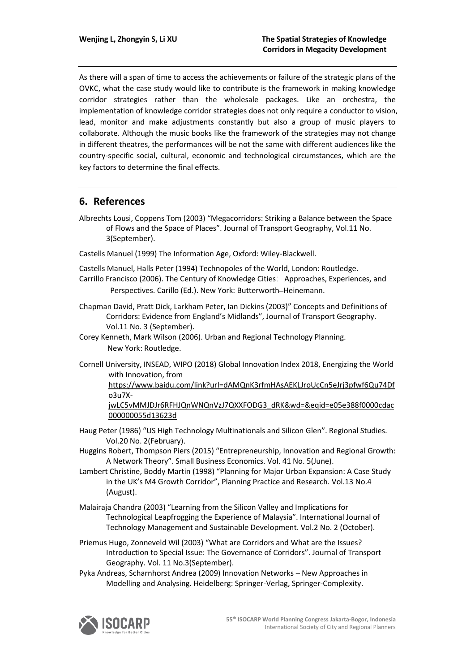As there will a span of time to access the achievements or failure of the strategic plans of the OVKC, what the case study would like to contribute is the framework in making knowledge corridor strategies rather than the wholesale packages. Like an orchestra, the implementation of knowledge corridor strategies does not only require a conductor to vision, lead, monitor and make adjustments constantly but also a group of music players to collaborate. Although the music books like the framework of the strategies may not change in different theatres, the performances will be not the same with different audiences like the country-specific social, cultural, economic and technological circumstances, which are the key factors to determine the final effects.

# **6. References**

Albrechts Lousi, Coppens Tom (2003) "Megacorridors: Striking a Balance between the Space of Flows and the Space of Places". Journal of Transport Geography, Vol.11 No. 3(September).

Castells Manuel (1999) The Information Age, Oxford: Wiley-Blackwell.

Castells Manuel, Halls Peter (1994) Technopoles of the World, London: Routledge. Carrillo Francisco (2006). The Century of Knowledge Cities:Approaches, Experiences, and Perspectives. Carillo (Ed.). New York: Butterworth–Heinemann.

Chapman David, Pratt Dick, Larkham Peter, Ian Dickins (2003)" Concepts and Definitions of Corridors: Evidence from England's Midlands", Journal of Transport Geography. Vol.11 No. 3 (September).

Corey Kenneth, Mark Wilson (2006). Urban and Regional Technology Planning. New York: Routledge.

Cornell University, INSEAD, WIPO (2018) Global Innovation Index 2018, Energizing the World with Innovation, from

[https://www.baidu.com/link?url=dAMQnK3rfmHAsAEKLJroUcCn5eJrj3pfwf6Qu74Df](https://www.baidu.com/link?url=dAMQnK3rfmHAsAEKLJroUcCn5eJrj3pfwf6Qu74Dfo3u7X-jwLC5vMMJDJr6RFHJQnWNQnVzJ7QXXFODG3_dRK&wd=&eqid=e05e388f0000cdac000000055d13623d) [o3u7X-](https://www.baidu.com/link?url=dAMQnK3rfmHAsAEKLJroUcCn5eJrj3pfwf6Qu74Dfo3u7X-jwLC5vMMJDJr6RFHJQnWNQnVzJ7QXXFODG3_dRK&wd=&eqid=e05e388f0000cdac000000055d13623d)

[jwLC5vMMJDJr6RFHJQnWNQnVzJ7QXXFODG3\\_dRK&wd=&eqid=e05e388f0000cdac](https://www.baidu.com/link?url=dAMQnK3rfmHAsAEKLJroUcCn5eJrj3pfwf6Qu74Dfo3u7X-jwLC5vMMJDJr6RFHJQnWNQnVzJ7QXXFODG3_dRK&wd=&eqid=e05e388f0000cdac000000055d13623d) [000000055d13623d](https://www.baidu.com/link?url=dAMQnK3rfmHAsAEKLJroUcCn5eJrj3pfwf6Qu74Dfo3u7X-jwLC5vMMJDJr6RFHJQnWNQnVzJ7QXXFODG3_dRK&wd=&eqid=e05e388f0000cdac000000055d13623d)

Haug Peter (1986) "US High Technology Multinationals and Silicon Glen". Regional Studies. Vol.20 No. 2(February).

Huggins Robert, Thompson Piers (2015) "Entrepreneurship, Innovation and Regional Growth: A Network Theory". Small Business Economics. Vol. 41 No. 5(June).

- Lambert Christine, Boddy Martin (1998) "Planning for Major Urban Expansion: A Case Study in the UK's M4 Growth Corridor", Planning Practice and Research. Vol.13 No.4 (August).
- Malairaja Chandra (2003) "Learning from the Silicon Valley and Implications for Technological Leapfrogging the Experience of Malaysia". International Journal of Technology Management and Sustainable Development. Vol.2 No. 2 (October).
- Priemus Hugo, Zonneveld Wil (2003) "What are Corridors and What are the Issues? Introduction to Special Issue: The Governance of Corridors". Journal of Transport Geography. Vol. 11 No.3(September).
- Pyka Andreas, Scharnhorst Andrea (2009) Innovation Networks New Approaches in Modelling and Analysing. Heidelberg: Springer-Verlag, Springer-Complexity.